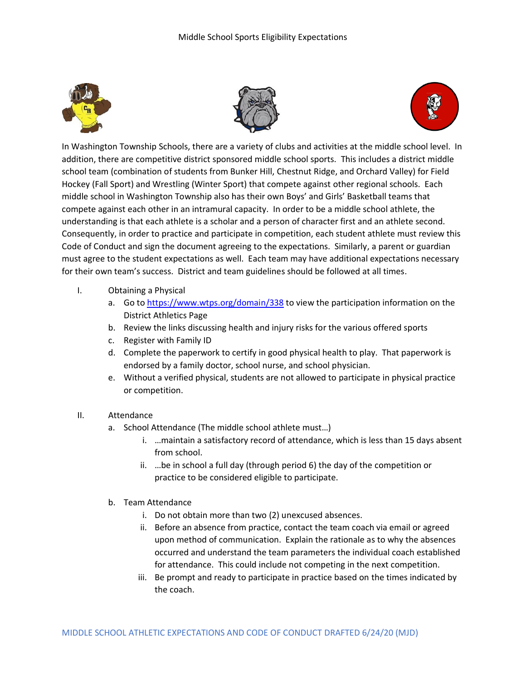





In Washington Township Schools, there are a variety of clubs and activities at the middle school level. In addition, there are competitive district sponsored middle school sports. This includes a district middle school team (combination of students from Bunker Hill, Chestnut Ridge, and Orchard Valley) for Field Hockey (Fall Sport) and Wrestling (Winter Sport) that compete against other regional schools. Each middle school in Washington Township also has their own Boys' and Girls' Basketball teams that compete against each other in an intramural capacity. In order to be a middle school athlete, the understanding is that each athlete is a scholar and a person of character first and an athlete second. Consequently, in order to practice and participate in competition, each student athlete must review this Code of Conduct and sign the document agreeing to the expectations. Similarly, a parent or guardian must agree to the student expectations as well. Each team may have additional expectations necessary for their own team's success. District and team guidelines should be followed at all times.

- I. Obtaining a Physical
	- a. Go to<https://www.wtps.org/domain/338> to view the participation information on the District Athletics Page
	- b. Review the links discussing health and injury risks for the various offered sports
	- c. Register with Family ID
	- d. Complete the paperwork to certify in good physical health to play. That paperwork is endorsed by a family doctor, school nurse, and school physician.
	- e. Without a verified physical, students are not allowed to participate in physical practice or competition.
- II. Attendance
	- a. School Attendance (The middle school athlete must…)
		- i. …maintain a satisfactory record of attendance, which is less than 15 days absent from school.
		- ii. …be in school a full day (through period 6) the day of the competition or practice to be considered eligible to participate.
	- b. Team Attendance
		- i. Do not obtain more than two (2) unexcused absences.
		- ii. Before an absence from practice, contact the team coach via email or agreed upon method of communication. Explain the rationale as to why the absences occurred and understand the team parameters the individual coach established for attendance. This could include not competing in the next competition.
		- iii. Be prompt and ready to participate in practice based on the times indicated by the coach.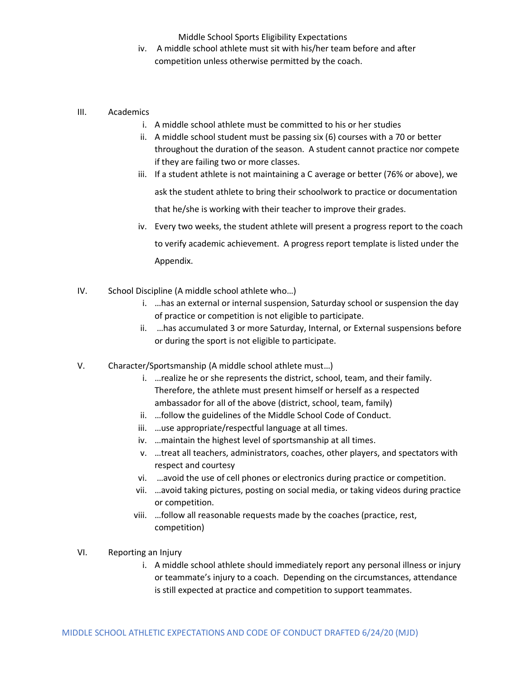Middle School Sports Eligibility Expectations

- iv. A middle school athlete must sit with his/her team before and after competition unless otherwise permitted by the coach.
- III. Academics
	- i. A middle school athlete must be committed to his or her studies
	- ii. A middle school student must be passing six (6) courses with a 70 or better throughout the duration of the season. A student cannot practice nor compete if they are failing two or more classes.
	- iii. If a student athlete is not maintaining a C average or better (76% or above), we ask the student athlete to bring their schoolwork to practice or documentation that he/she is working with their teacher to improve their grades.
	- iv. Every two weeks, the student athlete will present a progress report to the coach to verify academic achievement. A progress report template is listed under the Appendix.
- IV. School Discipline (A middle school athlete who…)
	- i. …has an external or internal suspension, Saturday school or suspension the day of practice or competition is not eligible to participate.
	- ii. …has accumulated 3 or more Saturday, Internal, or External suspensions before or during the sport is not eligible to participate.
- V. Character/Sportsmanship (A middle school athlete must…)
	- i. …realize he or she represents the district, school, team, and their family. Therefore, the athlete must present himself or herself as a respected ambassador for all of the above (district, school, team, family)
	- ii. …follow the guidelines of the Middle School Code of Conduct.
	- iii. …use appropriate/respectful language at all times.
	- iv. …maintain the highest level of sportsmanship at all times.
	- v. …treat all teachers, administrators, coaches, other players, and spectators with respect and courtesy
	- vi. …avoid the use of cell phones or electronics during practice or competition.
	- vii. …avoid taking pictures, posting on social media, or taking videos during practice or competition.
	- viii. …follow all reasonable requests made by the coaches (practice, rest, competition)
- VI. Reporting an Injury
	- i. A middle school athlete should immediately report any personal illness or injury or teammate's injury to a coach. Depending on the circumstances, attendance is still expected at practice and competition to support teammates.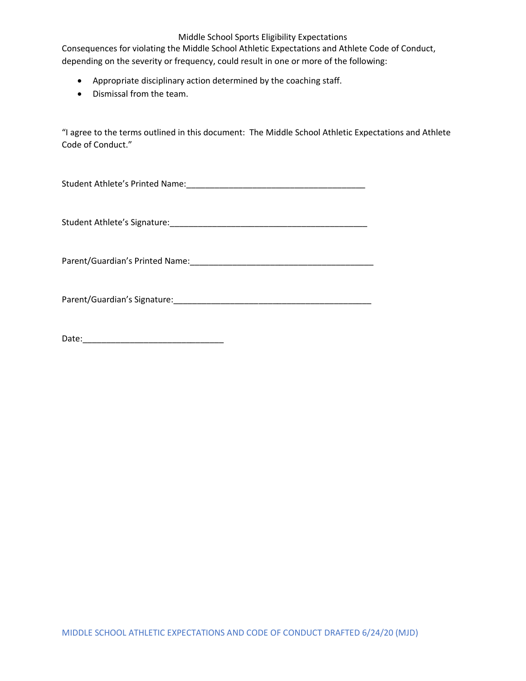#### Middle School Sports Eligibility Expectations

Consequences for violating the Middle School Athletic Expectations and Athlete Code of Conduct, depending on the severity or frequency, could result in one or more of the following:

- Appropriate disciplinary action determined by the coaching staff.
- Dismissal from the team.

"I agree to the terms outlined in this document: The Middle School Athletic Expectations and Athlete Code of Conduct."

Student Athlete's Printed Name:\_\_\_\_\_\_\_\_\_\_\_\_\_\_\_\_\_\_\_\_\_\_\_\_\_\_\_\_\_\_\_\_\_\_\_\_\_\_

Student Athlete's Signature:\_\_\_\_\_\_\_\_\_\_\_\_\_\_\_\_\_\_\_\_\_\_\_\_\_\_\_\_\_\_\_\_\_\_\_\_\_\_\_\_\_\_

Parent/Guardian's Printed Name:\_\_\_\_\_\_\_\_\_\_\_\_\_\_\_\_\_\_\_\_\_\_\_\_\_\_\_\_\_\_\_\_\_\_\_\_\_\_\_

Parent/Guardian's Signature:\_\_\_\_\_\_\_\_\_\_\_\_\_\_\_\_\_\_\_\_\_\_\_\_\_\_\_\_\_\_\_\_\_\_\_\_\_\_\_\_\_\_

Date:\_\_\_\_\_\_\_\_\_\_\_\_\_\_\_\_\_\_\_\_\_\_\_\_\_\_\_\_\_\_